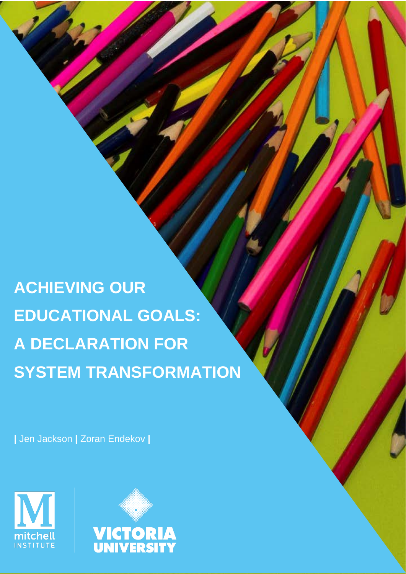Please cite this paper as: Jackson, J. & Endekov, Z. (2019). *Achieving our educational goals: A declaration for system transformation*. Mitchell Institute, Melbourne. **ACHIEVING OUR EDUCATIONAL GOALS: A DECLARATION FOR SYSTEM TRANSFORMATION**

Michelle Anderson who provided valuable feedback on our approach.

Declaration, available at: [www.reviewmelbournedeclaration.edu.au](http://www.reviewmelbournedeclaration.edu.au/) 

**About the Mitchell Institute**

The Mitchell Institute for Education and Health Policy is to strengthen the relationship is to strengthen the between evidence and policy, and policy, and to improve equity of opportunity and success in both health health

Australians can engage with and benefit from these services, supporting a healthier, fairer and more productive society. We are informed, independent and influential, with a proven ability to identify current and emerging problems in education and health, and use evidence to develop

We are grateful to the Mitchell Institute Education Advisory Board for assisting with framing the Mitchell Institute Education Advisory Board for assisting with framing the Mitchell Institute Education Advisory Board for a paper, and Professor Stephen Lamb, Professor Peter Noonan and Adjunct Associate Professor

This paper is based on the Mitchell Institute's submission to the Review of the Melbourne

and education. Our focus is on improving our education and health systems so more

**|** Jen Jackson **|** Zoran Endekov **|**



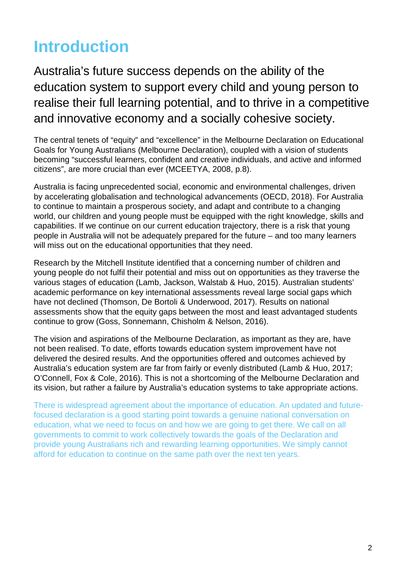# **Introduction**

Australia's future success depends on the ability of the education system to support every child and young person to realise their full learning potential, and to thrive in a competitive and innovative economy and a socially cohesive society.

The central tenets of "equity" and "excellence" in the Melbourne Declaration on Educational Goals for Young Australians (Melbourne Declaration), coupled with a vision of students becoming "successful learners, confident and creative individuals, and active and informed citizens", are more crucial than ever (MCEETYA, 2008, p.8).

Australia is facing unprecedented social, economic and environmental challenges, driven by accelerating globalisation and technological advancements (OECD, 2018). For Australia to continue to maintain a prosperous society, and adapt and contribute to a changing world, our children and young people must be equipped with the right knowledge, skills and capabilities. If we continue on our current education trajectory, there is a risk that young people in Australia will not be adequately prepared for the future – and too many learners will miss out on the educational opportunities that they need.

Research by the Mitchell Institute identified that a concerning number of children and young people do not fulfil their potential and miss out on opportunities as they traverse the various stages of education (Lamb, Jackson, Walstab & Huo, 2015). Australian students' academic performance on key international assessments reveal large social gaps which have not declined (Thomson, De Bortoli & Underwood, 2017). Results on national assessments show that the equity gaps between the most and least advantaged students continue to grow (Goss, Sonnemann, Chisholm & Nelson, 2016).

The vision and aspirations of the Melbourne Declaration, as important as they are, have not been realised. To date, efforts towards education system improvement have not delivered the desired results. And the opportunities offered and outcomes achieved by Australia's education system are far from fairly or evenly distributed (Lamb & Huo, 2017; O'Connell, Fox & Cole, 2016). This is not a shortcoming of the Melbourne Declaration and its vision, but rather a failure by Australia's education systems to take appropriate actions.

There is widespread agreement about the importance of education. An updated and futurefocused declaration is a good starting point towards a genuine national conversation on education, what we need to focus on and how we are going to get there. We call on all governments to commit to work collectively towards the goals of the Declaration and provide young Australians rich and rewarding learning opportunities. We simply cannot afford for education to continue on the same path over the next ten years.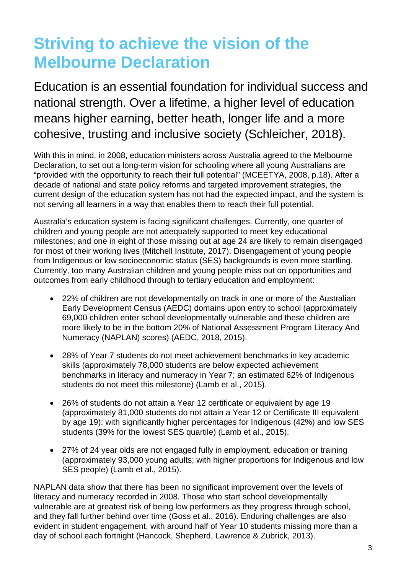## **Striving to achieve the vision of the Melbourne Declaration**

Education is an essential foundation for individual success and national strength. Over a lifetime, a higher level of education means higher earning, better heath, longer life and a more cohesive, trusting and inclusive society (Schleicher, 2018).

With this in mind, in 2008, education ministers across Australia agreed to the Melbourne Declaration, to set out a long-term vision for schooling where all young Australians are "provided with the opportunity to reach their full potential" (MCEETYA, 2008, p.18). After a decade of national and state policy reforms and targeted improvement strategies, the current design of the education system has not had the expected impact, and the system is not serving all learners in a way that enables them to reach their full potential.

Australia's education system is facing significant challenges. Currently, one quarter of children and young people are not adequately supported to meet key educational milestones; and one in eight of those missing out at age 24 are likely to remain disengaged for most of their working lives (Mitchell Institute, 2017). Disengagement of young people from Indigenous or low socioeconomic status (SES) backgrounds is even more startling. Currently, too many Australian children and young people miss out on opportunities and outcomes from early childhood through to tertiary education and employment:

- 22% of children are not developmentally on track in one or more of the Australian Early Development Census (AEDC) domains upon entry to school (approximately 69,000 children enter school developmentally vulnerable and these children are more likely to be in the bottom 20% of National Assessment Program Literacy And Numeracy (NAPLAN) scores) (AEDC, 2018, 2015).
- 28% of Year 7 students do not meet achievement benchmarks in key academic skills (approximately 78,000 students are below expected achievement benchmarks in literacy and numeracy in Year 7; an estimated 62% of Indigenous students do not meet this milestone) (Lamb et al., 2015).
- 26% of students do not attain a Year 12 certificate or equivalent by age 19 (approximately 81,000 students do not attain a Year 12 or Certificate III equivalent by age 19); with significantly higher percentages for Indigenous (42%) and low SES students (39% for the lowest SES quartile) (Lamb et al., 2015).
- 27% of 24 year olds are not engaged fully in employment, education or training (approximately 93,000 young adults; with higher proportions for Indigenous and low SES people) (Lamb et al., 2015).

NAPLAN data show that there has been no significant improvement over the levels of literacy and numeracy recorded in 2008. Those who start school developmentally vulnerable are at greatest risk of being low performers as they progress through school, and they fall further behind over time (Goss et al., 2016). Enduring challenges are also evident in student engagement, with around half of Year 10 students missing more than a day of school each fortnight (Hancock, Shepherd, Lawrence & Zubrick, 2013).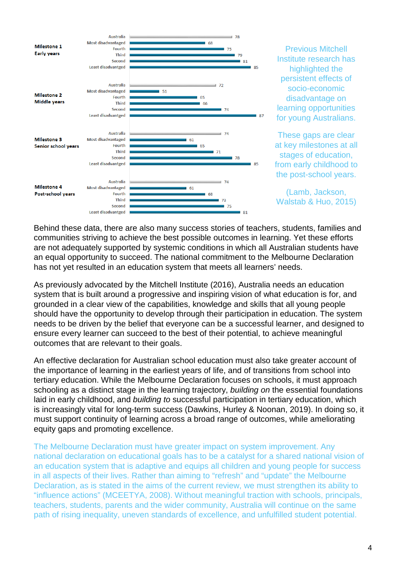

Previous Mitchell Institute research has highlighted the persistent effects of socio-economic disadvantage on learning opportunities for young Australians.

These gaps are clear at key milestones at all stages of education, from early childhood to the post-school years.

(Lamb, Jackson, Walstab & Huo, 2015)

Behind these data, there are also many success stories of teachers, students, families and communities striving to achieve the best possible outcomes in learning. Yet these efforts are not adequately supported by systemic conditions in which all Australian students have an equal opportunity to succeed. The national commitment to the Melbourne Declaration has not yet resulted in an education system that meets all learners' needs.

As previously advocated by the Mitchell Institute (2016), Australia needs an education system that is built around a progressive and inspiring vision of what education is for, and grounded in a clear view of the capabilities, knowledge and skills that all young people should have the opportunity to develop through their participation in education. The system needs to be driven by the belief that everyone can be a successful learner, and designed to ensure every learner can succeed to the best of their potential, to achieve meaningful outcomes that are relevant to their goals.

An effective declaration for Australian school education must also take greater account of the importance of learning in the earliest years of life, and of transitions from school into tertiary education. While the Melbourne Declaration focuses on schools, it must approach schooling as a distinct stage in the learning trajectory, *building on* the essential foundations laid in early childhood, and *building to* successful participation in tertiary education, which is increasingly vital for long-term success (Dawkins, Hurley & Noonan, 2019). In doing so, it must support continuity of learning across a broad range of outcomes, while ameliorating equity gaps and promoting excellence.

The Melbourne Declaration must have greater impact on system improvement. Any national declaration on educational goals has to be a catalyst for a shared national vision of an education system that is adaptive and equips all children and young people for success in all aspects of their lives. Rather than aiming to "refresh" and "update" the Melbourne Declaration, as is stated in the aims of the current review, we must strengthen its ability to "influence actions" (MCEETYA, 2008). Without meaningful traction with schools, principals, teachers, students, parents and the wider community, Australia will continue on the same path of rising inequality, uneven standards of excellence, and unfulfilled student potential.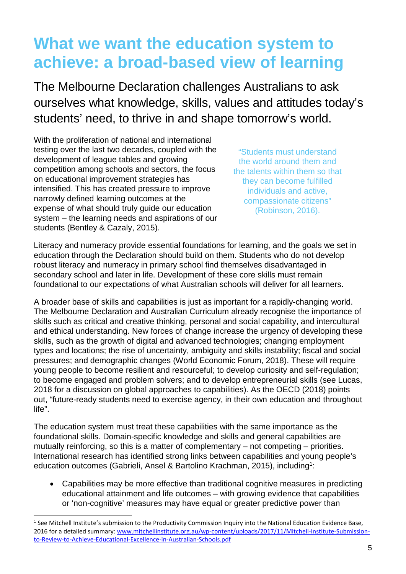## **What we want the education system to achieve: a broad-based view of learning**

The Melbourne Declaration challenges Australians to ask ourselves what knowledge, skills, values and attitudes today's students' need, to thrive in and shape tomorrow's world.

With the proliferation of national and international testing over the last two decades, coupled with the development of league tables and growing competition among schools and sectors, the focus on educational improvement strategies has intensified. This has created pressure to improve narrowly defined learning outcomes at the expense of what should truly guide our education system – the learning needs and aspirations of our students (Bentley & Cazaly, 2015).

 $\overline{a}$ 

"Students must understand the world around them and the talents within them so that they can become fulfilled individuals and active, compassionate citizens" (Robinson, 2016).

Literacy and numeracy provide essential foundations for learning, and the goals we set in education through the Declaration should build on them. Students who do not develop robust literacy and numeracy in primary school find themselves disadvantaged in secondary school and later in life. Development of these core skills must remain foundational to our expectations of what Australian schools will deliver for all learners.

A broader base of skills and capabilities is just as important for a rapidly-changing world. The Melbourne Declaration and Australian Curriculum already recognise the importance of skills such as critical and creative thinking, personal and social capability, and intercultural and ethical understanding. New forces of change increase the urgency of developing these skills, such as the growth of digital and advanced technologies; changing employment types and locations; the rise of uncertainty, ambiguity and skills instability; fiscal and social pressures; and demographic changes (World Economic Forum, 2018). These will require young people to become resilient and resourceful; to develop curiosity and self-regulation; to become engaged and problem solvers; and to develop entrepreneurial skills (see Lucas, 2018 for a discussion on global approaches to capabilities). As the OECD (2018) points out, "future-ready students need to exercise agency, in their own education and throughout life".

The education system must treat these capabilities with the same importance as the foundational skills. Domain-specific knowledge and skills and general capabilities are mutually reinforcing, so this is a matter of complementary – not competing – priorities. International research has identified strong links between capabilities and young people's education outcomes (Gabrieli, Ansel & Bartolino Krachman, 2015), including<sup>1</sup>:

• Capabilities may be more effective than traditional cognitive measures in predicting educational attainment and life outcomes – with growing evidence that capabilities or 'non-cognitive' measures may have equal or greater predictive power than

<sup>&</sup>lt;sup>1</sup> See Mitchell Institute's submission to the Productivity Commission Inquiry into the National Education Evidence Base, 2016 for a detailed summary: [www.mitchellinstitute.org.au/wp-content/uploads/2017/11/Mitchell-Institute-Submission](http://www.mitchellinstitute.org.au/wp-content/uploads/2017/11/Mitchell-Institute-Submission-to-Review-to-Achieve-Educational-Excellence-in-Australian-Schools.pdf)[to-Review-to-Achieve-Educational-Excellence-in-Australian-Schools.pdf](http://www.mitchellinstitute.org.au/wp-content/uploads/2017/11/Mitchell-Institute-Submission-to-Review-to-Achieve-Educational-Excellence-in-Australian-Schools.pdf)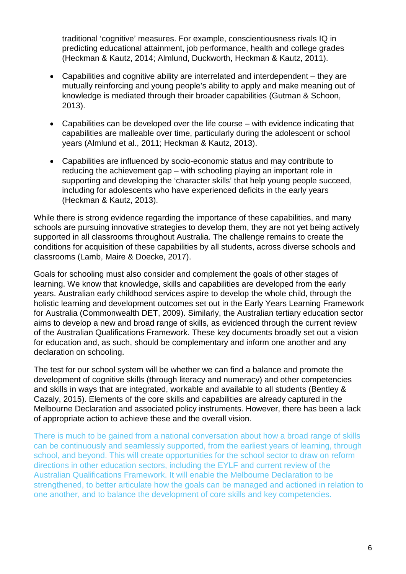traditional 'cognitive' measures. For example, conscientiousness rivals IQ in predicting educational attainment, job performance, health and college grades (Heckman & Kautz, 2014; Almlund, Duckworth, Heckman & Kautz, 2011).

- Capabilities and cognitive ability are interrelated and interdependent they are mutually reinforcing and young people's ability to apply and make meaning out of knowledge is mediated through their broader capabilities (Gutman & Schoon, 2013).
- Capabilities can be developed over the life course with evidence indicating that capabilities are malleable over time, particularly during the adolescent or school years (Almlund et al., 2011; Heckman & Kautz, 2013).
- Capabilities are influenced by socio-economic status and may contribute to reducing the achievement gap – with schooling playing an important role in supporting and developing the 'character skills' that help young people succeed, including for adolescents who have experienced deficits in the early years (Heckman & Kautz, 2013).

While there is strong evidence regarding the importance of these capabilities, and many schools are pursuing innovative strategies to develop them, they are not yet being actively supported in all classrooms throughout Australia. The challenge remains to create the conditions for acquisition of these capabilities by all students, across diverse schools and classrooms (Lamb, Maire & Doecke, 2017).

Goals for schooling must also consider and complement the goals of other stages of learning. We know that knowledge, skills and capabilities are developed from the early years. Australian early childhood services aspire to develop the whole child, through the holistic learning and development outcomes set out in the Early Years Learning Framework for Australia (Commonwealth DET, 2009). Similarly, the Australian tertiary education sector aims to develop a new and broad range of skills, as evidenced through the current review of the Australian Qualifications Framework. These key documents broadly set out a vision for education and, as such, should be complementary and inform one another and any declaration on schooling.

The test for our school system will be whether we can find a balance and promote the development of cognitive skills (through literacy and numeracy) and other competencies and skills in ways that are integrated, workable and available to all students (Bentley & Cazaly, 2015). Elements of the core skills and capabilities are already captured in the Melbourne Declaration and associated policy instruments. However, there has been a lack of appropriate action to achieve these and the overall vision.

There is much to be gained from a national conversation about how a broad range of skills can be continuously and seamlessly supported, from the earliest years of learning, through school, and beyond. This will create opportunities for the school sector to draw on reform directions in other education sectors, including the EYLF and current review of the Australian Qualifications Framework. It will enable the Melbourne Declaration to be strengthened, to better articulate how the goals can be managed and actioned in relation to one another, and to balance the development of core skills and key competencies.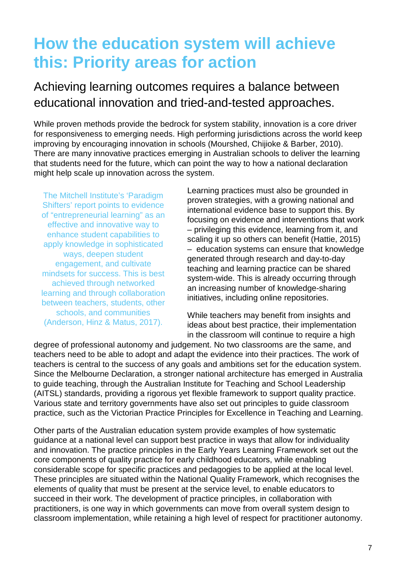## **How the education system will achieve this: Priority areas for action**

### Achieving learning outcomes requires a balance between educational innovation and tried-and-tested approaches.

While proven methods provide the bedrock for system stability, innovation is a core driver for responsiveness to emerging needs. High performing jurisdictions across the world keep improving by encouraging innovation in schools (Mourshed, Chijioke & Barber, 2010). There are many innovative practices emerging in Australian schools to deliver the learning that students need for the future, which can point the way to how a national declaration might help scale up innovation across the system.

The Mitchell Institute's 'Paradigm Shifters' report points to evidence of "entrepreneurial learning" as an effective and innovative way to enhance student capabilities to apply knowledge in sophisticated ways, deepen student engagement, and cultivate mindsets for success. This is best achieved through networked learning and through collaboration between teachers, students, other schools, and communities (Anderson, Hinz & Matus, 2017).

Learning practices must also be grounded in proven strategies, with a growing national and international evidence base to support this. By focusing on evidence and interventions that work – privileging this evidence, learning from it, and scaling it up so others can benefit (Hattie, 2015) – education systems can ensure that knowledge generated through research and day-to-day teaching and learning practice can be shared system-wide. This is already occurring through an increasing number of knowledge-sharing initiatives, including online repositories.

While teachers may benefit from insights and ideas about best practice, their implementation in the classroom will continue to require a high

degree of professional autonomy and judgement. No two classrooms are the same, and teachers need to be able to adopt and adapt the evidence into their practices. The work of teachers is central to the success of any goals and ambitions set for the education system. Since the Melbourne Declaration, a stronger national architecture has emerged in Australia to guide teaching, through the Australian Institute for Teaching and School Leadership (AITSL) standards, providing a rigorous yet flexible framework to support quality practice. Various state and territory governments have also set out principles to guide classroom practice, such as the Victorian Practice Principles for Excellence in Teaching and Learning.

Other parts of the Australian education system provide examples of how systematic guidance at a national level can support best practice in ways that allow for individuality and innovation. The practice principles in the Early Years Learning Framework set out the core components of quality practice for early childhood educators, while enabling considerable scope for specific practices and pedagogies to be applied at the local level. These principles are situated within the National Quality Framework, which recognises the elements of quality that must be present at the service level, to enable educators to succeed in their work. The development of practice principles, in collaboration with practitioners, is one way in which governments can move from overall system design to classroom implementation, while retaining a high level of respect for practitioner autonomy.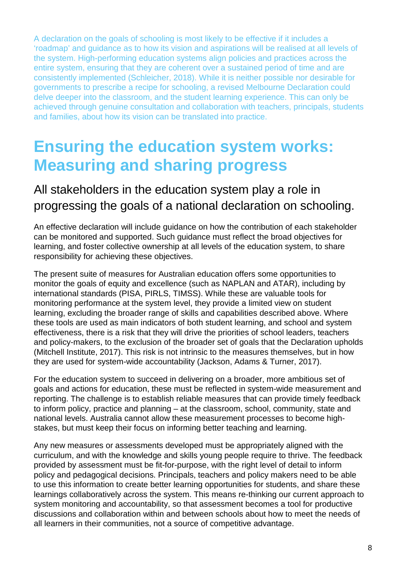A declaration on the goals of schooling is most likely to be effective if it includes a 'roadmap' and guidance as to how its vision and aspirations will be realised at all levels of the system. High-performing education systems align policies and practices across the entire system, ensuring that they are coherent over a sustained period of time and are consistently implemented (Schleicher, 2018). While it is neither possible nor desirable for governments to prescribe a recipe for schooling, a revised Melbourne Declaration could delve deeper into the classroom, and the student learning experience. This can only be achieved through genuine consultation and collaboration with teachers, principals, students and families, about how its vision can be translated into practice.

### **Ensuring the education system works: Measuring and sharing progress**

### All stakeholders in the education system play a role in progressing the goals of a national declaration on schooling.

An effective declaration will include guidance on how the contribution of each stakeholder can be monitored and supported. Such guidance must reflect the broad objectives for learning, and foster collective ownership at all levels of the education system, to share responsibility for achieving these objectives.

The present suite of measures for Australian education offers some opportunities to monitor the goals of equity and excellence (such as NAPLAN and ATAR), including by international standards (PISA, PIRLS, TIMSS). While these are valuable tools for monitoring performance at the system level, they provide a limited view on student learning, excluding the broader range of skills and capabilities described above. Where these tools are used as main indicators of both student learning, and school and system effectiveness, there is a risk that they will drive the priorities of school leaders, teachers and policy-makers, to the exclusion of the broader set of goals that the Declaration upholds (Mitchell Institute, 2017). This risk is not intrinsic to the measures themselves, but in how they are used for system-wide accountability (Jackson, Adams & Turner, 2017).

For the education system to succeed in delivering on a broader, more ambitious set of goals and actions for education, these must be reflected in system-wide measurement and reporting. The challenge is to establish reliable measures that can provide timely feedback to inform policy, practice and planning – at the classroom, school, community, state and national levels. Australia cannot allow these measurement processes to become highstakes, but must keep their focus on informing better teaching and learning.

Any new measures or assessments developed must be appropriately aligned with the curriculum, and with the knowledge and skills young people require to thrive. The feedback provided by assessment must be fit-for-purpose, with the right level of detail to inform policy and pedagogical decisions. Principals, teachers and policy makers need to be able to use this information to create better learning opportunities for students, and share these learnings collaboratively across the system. This means re-thinking our current approach to system monitoring and accountability, so that assessment becomes a tool for productive discussions and collaboration within and between schools about how to meet the needs of all learners in their communities, not a source of competitive advantage.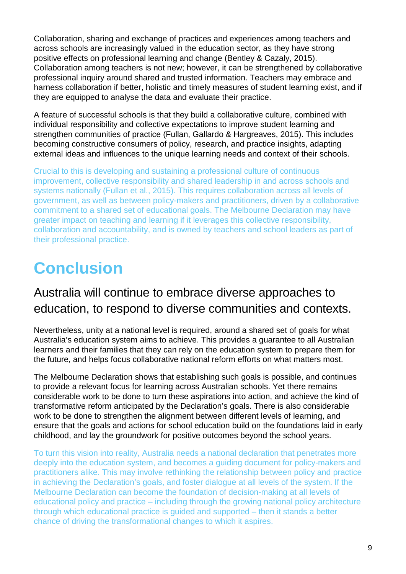Collaboration, sharing and exchange of practices and experiences among teachers and across schools are increasingly valued in the education sector, as they have strong positive effects on professional learning and change (Bentley & Cazaly, 2015). Collaboration among teachers is not new; however, it can be strengthened by collaborative professional inquiry around shared and trusted information. Teachers may embrace and harness collaboration if better, holistic and timely measures of student learning exist, and if they are equipped to analyse the data and evaluate their practice.

A feature of successful schools is that they build a collaborative culture, combined with individual responsibility and collective expectations to improve student learning and strengthen communities of practice (Fullan, Gallardo & Hargreaves, 2015). This includes becoming constructive consumers of policy, research, and practice insights, adapting external ideas and influences to the unique learning needs and context of their schools.

Crucial to this is developing and sustaining a professional culture of continuous improvement, collective responsibility and shared leadership in and across schools and systems nationally (Fullan et al., 2015). This requires collaboration across all levels of government, as well as between policy-makers and practitioners, driven by a collaborative commitment to a shared set of educational goals. The Melbourne Declaration may have greater impact on teaching and learning if it leverages this collective responsibility, collaboration and accountability, and is owned by teachers and school leaders as part of their professional practice.

## **Conclusion**

#### Australia will continue to embrace diverse approaches to education, to respond to diverse communities and contexts.

Nevertheless, unity at a national level is required, around a shared set of goals for what Australia's education system aims to achieve. This provides a guarantee to all Australian learners and their families that they can rely on the education system to prepare them for the future, and helps focus collaborative national reform efforts on what matters most.

The Melbourne Declaration shows that establishing such goals is possible, and continues to provide a relevant focus for learning across Australian schools. Yet there remains considerable work to be done to turn these aspirations into action, and achieve the kind of transformative reform anticipated by the Declaration's goals. There is also considerable work to be done to strengthen the alignment between different levels of learning, and ensure that the goals and actions for school education build on the foundations laid in early childhood, and lay the groundwork for positive outcomes beyond the school years.

To turn this vision into reality, Australia needs a national declaration that penetrates more deeply into the education system, and becomes a guiding document for policy-makers and practitioners alike. This may involve rethinking the relationship between policy and practice in achieving the Declaration's goals, and foster dialogue at all levels of the system. If the Melbourne Declaration can become the foundation of decision-making at all levels of educational policy and practice – including through the growing national policy architecture through which educational practice is guided and supported – then it stands a better chance of driving the transformational changes to which it aspires.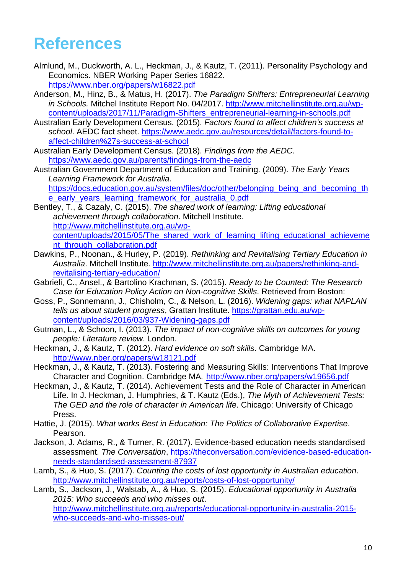### **References**

- Almlund, M., Duckworth, A. L., Heckman, J., & Kautz, T. (2011). Personality Psychology and Economics. NBER Working Paper Series 16822. <https://www.nber.org/papers/w16822.pdf>
- Anderson, M., Hinz, B., & Matus, H. (2017). *The Paradigm Shifters: Entrepreneurial Learning in Schools.* Mitchel Institute Report No. 04/2017. [http://www.mitchellinstitute.org.au/wp](http://www.mitchellinstitute.org.au/wp-content/uploads/2017/11/Paradigm-Shifters_entrepreneurial-learning-in-schools.pdf)[content/uploads/2017/11/Paradigm-Shifters\\_entrepreneurial-learning-in-schools.pdf](http://www.mitchellinstitute.org.au/wp-content/uploads/2017/11/Paradigm-Shifters_entrepreneurial-learning-in-schools.pdf)
- Australian Early Development Census. (2015). *Factors found to affect children's success at school*. AEDC fact sheet. [https://www.aedc.gov.au/resources/detail/factors-found-to](https://www.aedc.gov.au/resources/detail/factors-found-to-affect-children%27s-success-at-school)[affect-children%27s-success-at-school](https://www.aedc.gov.au/resources/detail/factors-found-to-affect-children%27s-success-at-school)
- Australian Early Development Census. (2018). *Findings from the AEDC*. <https://www.aedc.gov.au/parents/findings-from-the-aedc>
- Australian Government Department of Education and Training. (2009). *The Early Years Learning Framework for Australia*.

[https://docs.education.gov.au/system/files/doc/other/belonging\\_being\\_and\\_becoming\\_th](https://docs.education.gov.au/system/files/doc/other/belonging_being_and_becoming_the_early_years_learning_framework_for_australia_0.pdf) [e\\_early\\_years\\_learning\\_framework\\_for\\_australia\\_0.pdf](https://docs.education.gov.au/system/files/doc/other/belonging_being_and_becoming_the_early_years_learning_framework_for_australia_0.pdf)

- Bentley, T., & Cazaly, C. (2015). *The shared work of learning: Lifting educational achievement through collaboration*. Mitchell Institute. [http://www.mitchellinstitute.org.au/wp](http://www.mitchellinstitute.org.au/wp-content/uploads/2015/05/The_shared_work_of_learning_lifting_educational_achievement_through_collaboration.pdf)content/uploads/2015/05/The shared work of learning lifting educational achieveme [nt\\_through\\_collaboration.pdf](http://www.mitchellinstitute.org.au/wp-content/uploads/2015/05/The_shared_work_of_learning_lifting_educational_achievement_through_collaboration.pdf)
- Dawkins, P., Noonan., & Hurley, P. (2019). *Rethinking and Revitalising Tertiary Education in Australia*. Mitchell Institute. [http://www.mitchellinstitute.org.au/papers/rethinking-and](http://www.mitchellinstitute.org.au/papers/rethinking-and-revitalising-tertiary-education/)[revitalising-tertiary-education/](http://www.mitchellinstitute.org.au/papers/rethinking-and-revitalising-tertiary-education/)
- Gabrieli, C., Ansel., & Bartolino Krachman, S. (2015). *Ready to be Counted: The Research Case for Education Policy Action on Non-cognitive Skills*. Retrieved from Boston:
- Goss, P., Sonnemann, J., Chisholm, C., & Nelson, L. (2016). *Widening gaps: what NAPLAN tells us about student progress*, Grattan Institute. [https://grattan.edu.au/wp](https://grattan.edu.au/wp-content/uploads/2016/03/937-Widening-gaps.pdf)[content/uploads/2016/03/937-Widening-gaps.pdf](https://grattan.edu.au/wp-content/uploads/2016/03/937-Widening-gaps.pdf)
- Gutman, L., & Schoon, I. (2013). *The impact of non-cognitive skills on outcomes for young people: Literature review*. London.
- Heckman, J., & Kautz, T. (2012). *Hard evidence on soft skills*. Cambridge MA. http://www.nber.org/papers/w18121.pdf
- Heckman, J., & Kautz, T. (2013). Fostering and Measuring Skills: Interventions That Improve Character and Cognition. Cambridge MA. http://www.nber.org/papers/w19656.pdf
- Heckman, J., & Kautz, T. (2014). Achievement Tests and the Role of Character in American Life. In J. Heckman, J. Humphries, & T. Kautz (Eds.), *The Myth of Achievement Tests: The GED and the role of character in American life*. Chicago: University of Chicago Press.
- Hattie, J. (2015). *What works Best in Education: The Politics of Collaborative Expertise*. Pearson.
- Jackson, J. Adams, R., & Turner, R. (2017). Evidence-based education needs standardised assessment. *The Conversation*, [https://theconversation.com/evidence-based-education](https://theconversation.com/evidence-based-education-needs-standardised-assessment-87937)[needs-standardised-assessment-87937](https://theconversation.com/evidence-based-education-needs-standardised-assessment-87937)
- Lamb, S., & Huo, S. (2017). *Counting the costs of lost opportunity in Australian education*. <http://www.mitchellinstitute.org.au/reports/costs-of-lost-opportunity/>
- Lamb, S., Jackson, J., Walstab, A., & Huo, S. (2015). *Educational opportunity in Australia 2015: Who succeeds and who misses out*. [http://www.mitchellinstitute.org.au/reports/educational-opportunity-in-australia-2015](http://www.mitchellinstitute.org.au/reports/educational-opportunity-in-australia-2015-who-succeeds-and-who-misses-out/) [who-succeeds-and-who-misses-out/](http://www.mitchellinstitute.org.au/reports/educational-opportunity-in-australia-2015-who-succeeds-and-who-misses-out/)